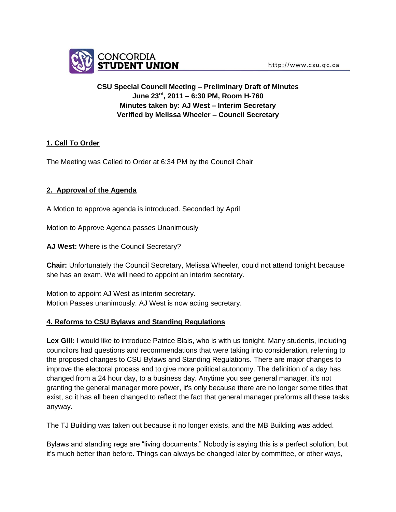

# **CSU Special Council Meeting – Preliminary Draft of Minutes June 23rd, 2011 – 6:30 PM, Room H-760 Minutes taken by: AJ West – Interim Secretary Verified by Melissa Wheeler – Council Secretary**

# **1. Call To Order**

The Meeting was Called to Order at 6:34 PM by the Council Chair

# **2. Approval of the Agenda**

A Motion to approve agenda is introduced. Seconded by April

Motion to Approve Agenda passes Unanimously

**AJ West:** Where is the Council Secretary?

**Chair:** Unfortunately the Council Secretary, Melissa Wheeler, could not attend tonight because she has an exam. We will need to appoint an interim secretary.

Motion to appoint AJ West as interim secretary. Motion Passes unanimously. AJ West is now acting secretary.

#### **4. Reforms to CSU Bylaws and Standing Regulations**

**Lex Gill:** I would like to introduce Patrice Blais, who is with us tonight. Many students, including councilors had questions and recommendations that were taking into consideration, referring to the proposed changes to CSU Bylaws and Standing Regulations. There are major changes to improve the electoral process and to give more political autonomy. The definition of a day has changed from a 24 hour day, to a business day. Anytime you see general manager, it's not granting the general manager more power, it's only because there are no longer some titles that exist, so it has all been changed to reflect the fact that general manager preforms all these tasks anyway.

The TJ Building was taken out because it no longer exists, and the MB Building was added.

Bylaws and standing regs are "living documents." Nobody is saying this is a perfect solution, but it's much better than before. Things can always be changed later by committee, or other ways,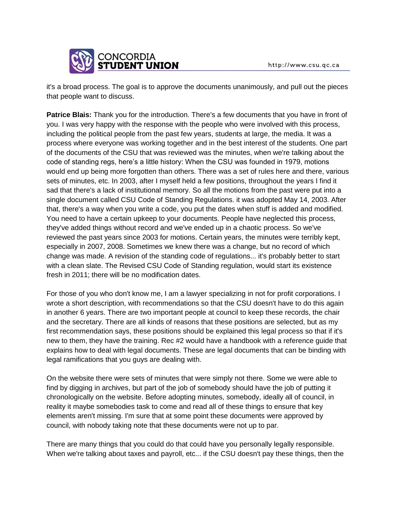

it's a broad process. The goal is to approve the documents unanimously, and pull out the pieces that people want to discuss.

**Patrice Blais:** Thank you for the introduction. There's a few documents that you have in front of you. I was very happy with the response with the people who were involved with this process, including the political people from the past few years, students at large, the media. It was a process where everyone was working together and in the best interest of the students. One part of the documents of the CSU that was reviewed was the minutes, when we're talking about the code of standing regs, here's a little history: When the CSU was founded in 1979, motions would end up being more forgotten than others. There was a set of rules here and there, various sets of minutes, etc. In 2003, after I myself held a few positions, throughout the years I find it sad that there's a lack of institutional memory. So all the motions from the past were put into a single document called CSU Code of Standing Regulations. it was adopted May 14, 2003. After that, there's a way when you write a code, you put the dates when stuff is added and modified. You need to have a certain upkeep to your documents. People have neglected this process, they've added things without record and we've ended up in a chaotic process. So we've reviewed the past years since 2003 for motions. Certain years, the minutes were terribly kept, especially in 2007, 2008. Sometimes we knew there was a change, but no record of which change was made. A revision of the standing code of regulations... it's probably better to start with a clean slate. The Revised CSU Code of Standing regulation, would start its existence fresh in 2011; there will be no modification dates.

For those of you who don't know me, I am a lawyer specializing in not for profit corporations. I wrote a short description, with recommendations so that the CSU doesn't have to do this again in another 6 years. There are two important people at council to keep these records, the chair and the secretary. There are all kinds of reasons that these positions are selected, but as my first recommendation says, these positions should be explained this legal process so that if it's new to them, they have the training. Rec #2 would have a handbook with a reference guide that explains how to deal with legal documents. These are legal documents that can be binding with legal ramifications that you guys are dealing with.

On the website there were sets of minutes that were simply not there. Some we were able to find by digging in archives, but part of the job of somebody should have the job of putting it chronologically on the website. Before adopting minutes, somebody, ideally all of council, in reality it maybe somebodies task to come and read all of these things to ensure that key elements aren't missing. I'm sure that at some point these documents were approved by council, with nobody taking note that these documents were not up to par.

There are many things that you could do that could have you personally legally responsible. When we're talking about taxes and payroll, etc... if the CSU doesn't pay these things, then the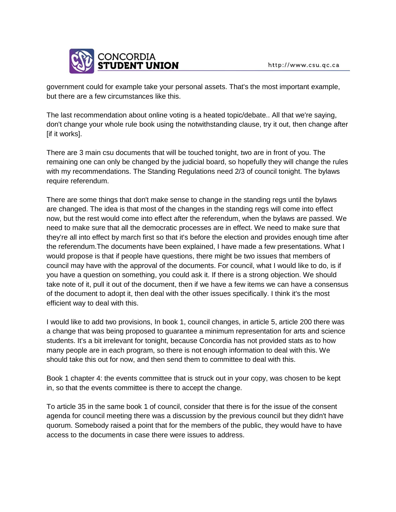

government could for example take your personal assets. That's the most important example, but there are a few circumstances like this.

The last recommendation about online voting is a heated topic/debate.. All that we're saying, don't change your whole rule book using the notwithstanding clause, try it out, then change after [if it works].

There are 3 main csu documents that will be touched tonight, two are in front of you. The remaining one can only be changed by the judicial board, so hopefully they will change the rules with my recommendations. The Standing Regulations need 2/3 of council tonight. The bylaws require referendum.

There are some things that don't make sense to change in the standing regs until the bylaws are changed. The idea is that most of the changes in the standing regs will come into effect now, but the rest would come into effect after the referendum, when the bylaws are passed. We need to make sure that all the democratic processes are in effect. We need to make sure that they're all into effect by march first so that it's before the election and provides enough time after the referendum.The documents have been explained, I have made a few presentations. What I would propose is that if people have questions, there might be two issues that members of council may have with the approval of the documents. For council, what I would like to do, is if you have a question on something, you could ask it. If there is a strong objection. We should take note of it, pull it out of the document, then if we have a few items we can have a consensus of the document to adopt it, then deal with the other issues specifically. I think it's the most efficient way to deal with this.

I would like to add two provisions, In book 1, council changes, in article 5, article 200 there was a change that was being proposed to guarantee a minimum representation for arts and science students. It's a bit irrelevant for tonight, because Concordia has not provided stats as to how many people are in each program, so there is not enough information to deal with this. We should take this out for now, and then send them to committee to deal with this.

Book 1 chapter 4: the events committee that is struck out in your copy, was chosen to be kept in, so that the events committee is there to accept the change.

To article 35 in the same book 1 of council, consider that there is for the issue of the consent agenda for council meeting there was a discussion by the previous council but they didn't have quorum. Somebody raised a point that for the members of the public, they would have to have access to the documents in case there were issues to address.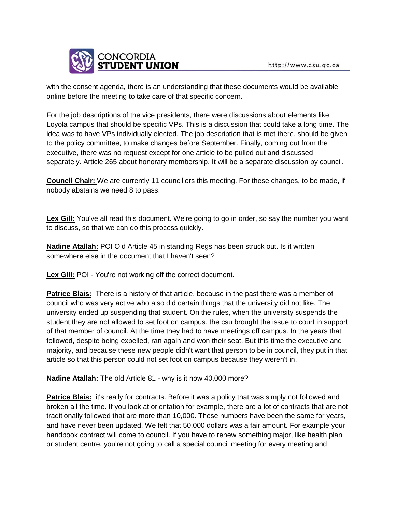

with the consent agenda, there is an understanding that these documents would be available online before the meeting to take care of that specific concern.

For the job descriptions of the vice presidents, there were discussions about elements like Loyola campus that should be specific VPs. This is a discussion that could take a long time. The idea was to have VPs individually elected. The job description that is met there, should be given to the policy committee, to make changes before September. Finally, coming out from the executive, there was no request except for one article to be pulled out and discussed separately. Article 265 about honorary membership. It will be a separate discussion by council.

**Council Chair:** We are currently 11 councillors this meeting. For these changes, to be made, if nobody abstains we need 8 to pass.

Lex Gill: You've all read this document. We're going to go in order, so say the number you want to discuss, so that we can do this process quickly.

**Nadine Atallah:** POI Old Article 45 in standing Regs has been struck out. Is it written somewhere else in the document that I haven't seen?

Lex Gill: POI - You're not working off the correct document.

**Patrice Blais:** There is a history of that article, because in the past there was a member of council who was very active who also did certain things that the university did not like. The university ended up suspending that student. On the rules, when the university suspends the student they are not allowed to set foot on campus. the csu brought the issue to court in support of that member of council. At the time they had to have meetings off campus. In the years that followed, despite being expelled, ran again and won their seat. But this time the executive and majority, and because these new people didn't want that person to be in council, they put in that article so that this person could not set foot on campus because they weren't in.

**Nadine Atallah:** The old Article 81 - why is it now 40,000 more?

**Patrice Blais:** it's really for contracts. Before it was a policy that was simply not followed and broken all the time. If you look at orientation for example, there are a lot of contracts that are not traditionally followed that are more than 10,000. These numbers have been the same for years, and have never been updated. We felt that 50,000 dollars was a fair amount. For example your handbook contract will come to council. If you have to renew something major, like health plan or student centre, you're not going to call a special council meeting for every meeting and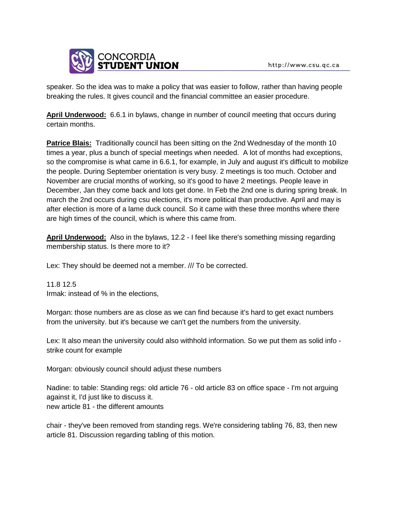

speaker. So the idea was to make a policy that was easier to follow, rather than having people breaking the rules. It gives council and the financial committee an easier procedure.

**April Underwood:** 6.6.1 in bylaws, change in number of council meeting that occurs during certain months.

**Patrice Blais:** Traditionally council has been sitting on the 2nd Wednesday of the month 10 times a year, plus a bunch of special meetings when needed. A lot of months had exceptions, so the compromise is what came in 6.6.1, for example, in July and august it's difficult to mobilize the people. During September orientation is very busy. 2 meetings is too much. October and November are crucial months of working, so it's good to have 2 meetings. People leave in December, Jan they come back and lots get done. In Feb the 2nd one is during spring break. In march the 2nd occurs during csu elections, it's more political than productive. April and may is after election is more of a lame duck council. So it came with these three months where there are high times of the council, which is where this came from.

**April Underwood:** Also in the bylaws, 12.2 - I feel like there's something missing regarding membership status. Is there more to it?

Lex: They should be deemed not a member. /// To be corrected.

11.8 12.5 Irmak: instead of % in the elections,

Morgan: those numbers are as close as we can find because it's hard to get exact numbers from the university. but it's because we can't get the numbers from the university.

Lex: It also mean the university could also withhold information. So we put them as solid info strike count for example

Morgan: obviously council should adjust these numbers

Nadine: to table: Standing regs: old article 76 - old article 83 on office space - I'm not arguing against it, I'd just like to discuss it. new article 81 - the different amounts

chair - they've been removed from standing regs. We're considering tabling 76, 83, then new article 81. Discussion regarding tabling of this motion.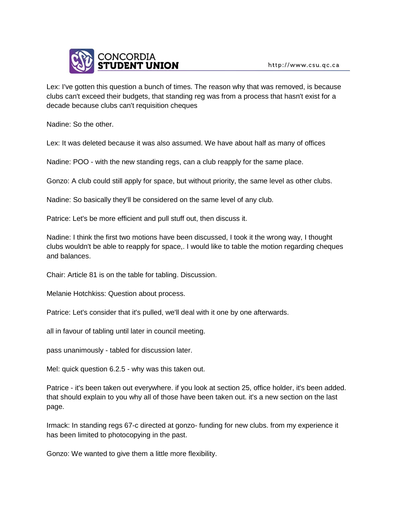

Lex: I've gotten this question a bunch of times. The reason why that was removed, is because clubs can't exceed their budgets, that standing reg was from a process that hasn't exist for a decade because clubs can't requisition cheques

Nadine: So the other.

Lex: It was deleted because it was also assumed. We have about half as many of offices

Nadine: POO - with the new standing regs, can a club reapply for the same place.

Gonzo: A club could still apply for space, but without priority, the same level as other clubs.

Nadine: So basically they'll be considered on the same level of any club.

Patrice: Let's be more efficient and pull stuff out, then discuss it.

Nadine: I think the first two motions have been discussed, I took it the wrong way, I thought clubs wouldn't be able to reapply for space,. I would like to table the motion regarding cheques and balances.

Chair: Article 81 is on the table for tabling. Discussion.

Melanie Hotchkiss: Question about process.

Patrice: Let's consider that it's pulled, we'll deal with it one by one afterwards.

all in favour of tabling until later in council meeting.

pass unanimously - tabled for discussion later.

Mel: quick question 6.2.5 - why was this taken out.

Patrice - it's been taken out everywhere. if you look at section 25, office holder, it's been added. that should explain to you why all of those have been taken out. it's a new section on the last page.

Irmack: In standing regs 67-c directed at gonzo- funding for new clubs. from my experience it has been limited to photocopying in the past.

Gonzo: We wanted to give them a little more flexibility.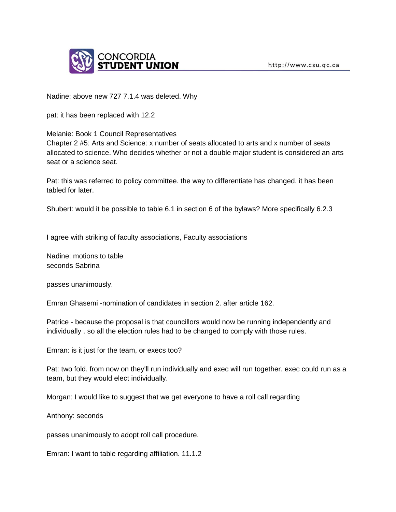

Nadine: above new 727 7.1.4 was deleted. Why

pat: it has been replaced with 12.2

Melanie: Book 1 Council Representatives

Chapter 2 #5: Arts and Science: x number of seats allocated to arts and x number of seats allocated to science. Who decides whether or not a double major student is considered an arts seat or a science seat.

Pat: this was referred to policy committee. the way to differentiate has changed. it has been tabled for later.

Shubert: would it be possible to table 6.1 in section 6 of the bylaws? More specifically 6.2.3

I agree with striking of faculty associations, Faculty associations

Nadine: motions to table seconds Sabrina

passes unanimously.

Emran Ghasemi -nomination of candidates in section 2. after article 162.

Patrice - because the proposal is that councillors would now be running independently and individually . so all the election rules had to be changed to comply with those rules.

Emran: is it just for the team, or execs too?

Pat: two fold. from now on they'll run individually and exec will run together. exec could run as a team, but they would elect individually.

Morgan: I would like to suggest that we get everyone to have a roll call regarding

Anthony: seconds

passes unanimously to adopt roll call procedure.

Emran: I want to table regarding affiliation. 11.1.2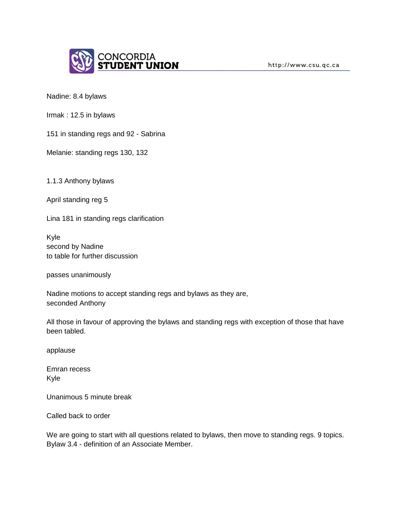

Nadine: 8.4 bylaws

Irmak : 12.5 in bylaws

151 in standing regs and 92 - Sabrina

Melanie: standing regs 130, 132

1.1.3 Anthony bylaws

April standing reg 5

Lina 181 in standing regs clarification

Kyle second by Nadine to table for further discussion

passes unanimously

Nadine motions to accept standing regs and bylaws as they are, seconded Anthony

All those in favour of approving the bylaws and standing regs with exception of those that have been tabled.

applause

Emran recess Kyle

Unanimous 5 minute break

Called back to order

We are going to start with all questions related to bylaws, then move to standing regs. 9 topics. Bylaw 3.4 - definition of an Associate Member.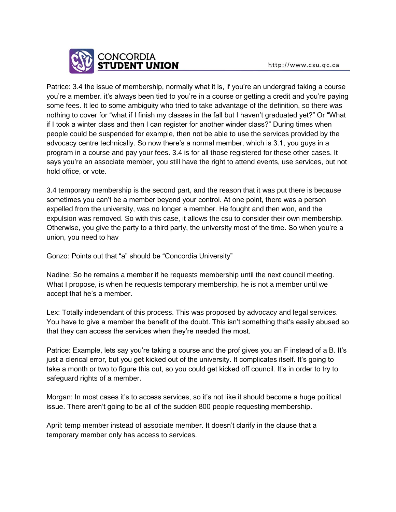

http://www.csu.qc.ca

Patrice: 3.4 the issue of membership, normally what it is, if you're an undergrad taking a course you're a member. it's always been tied to you're in a course or getting a credit and you're paying some fees. It led to some ambiguity who tried to take advantage of the definition, so there was nothing to cover for "what if I finish my classes in the fall but I haven't graduated yet?" Or "What if I took a winter class and then I can register for another winder class?" During times when people could be suspended for example, then not be able to use the services provided by the advocacy centre technically. So now there's a normal member, which is 3.1, you guys in a program in a course and pay your fees. 3.4 is for all those registered for these other cases. It says you're an associate member, you still have the right to attend events, use services, but not hold office, or vote.

3.4 temporary membership is the second part, and the reason that it was put there is because sometimes you can't be a member beyond your control. At one point, there was a person expelled from the university, was no longer a member. He fought and then won, and the expulsion was removed. So with this case, it allows the csu to consider their own membership. Otherwise, you give the party to a third party, the university most of the time. So when you're a union, you need to hav

Gonzo: Points out that "a" should be "Concordia University"

Nadine: So he remains a member if he requests membership until the next council meeting. What I propose, is when he requests temporary membership, he is not a member until we accept that he's a member.

Lex: Totally independant of this process. This was proposed by advocacy and legal services. You have to give a member the benefit of the doubt. This isn't something that's easily abused so that they can access the services when they're needed the most.

Patrice: Example, lets say you're taking a course and the prof gives you an F instead of a B. It's just a clerical error, but you get kicked out of the university. It complicates itself. It's going to take a month or two to figure this out, so you could get kicked off council. It's in order to try to safeguard rights of a member.

Morgan: In most cases it's to access services, so it's not like it should become a huge political issue. There aren't going to be all of the sudden 800 people requesting membership.

April: temp member instead of associate member. It doesn't clarify in the clause that a temporary member only has access to services.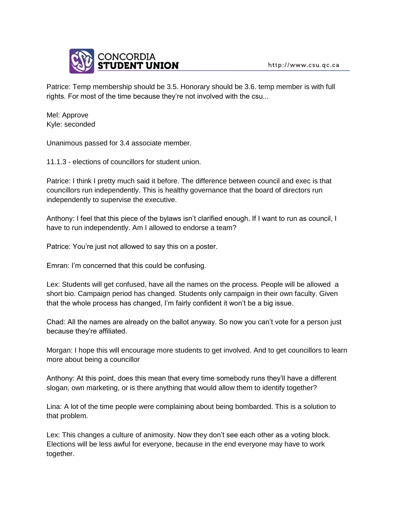

Patrice: Temp membership should be 3.5. Honorary should be 3.6. temp member is with full rights. For most of the time because they're not involved with the csu...

Mel: Approve Kyle: seconded

Unanimous passed for 3.4 associate member.

11.1.3 - elections of councillors for student union.

Patrice: I think I pretty much said it before. The difference between council and exec is that councillors run independently. This is healthy governance that the board of directors run independently to supervise the executive.

Anthony: I feel that this piece of the bylaws isn't clarified enough. If I want to run as council, I have to run independently. Am I allowed to endorse a team?

Patrice: You're just not allowed to say this on a poster.

Emran: I'm concerned that this could be confusing.

Lex: Students will get confused, have all the names on the process. People will be allowed a short bio. Campaign period has changed. Students only campaign in their own faculty. Given that the whole process has changed, I'm fairly confident it won't be a big issue.

Chad: All the names are already on the ballot anyway. So now you can't vote for a person just because they're affiliated.

Morgan: I hope this will encourage more students to get involved. And to get councillors to learn more about being a councillor

Anthony: At this point, does this mean that every time somebody runs they'll have a different slogan, own marketing, or is there anything that would allow them to identify together?

Lina: A lot of the time people were complaining about being bombarded. This is a solution to that problem.

Lex: This changes a culture of animosity. Now they don't see each other as a voting block. Elections will be less awful for everyone, because in the end everyone may have to work together.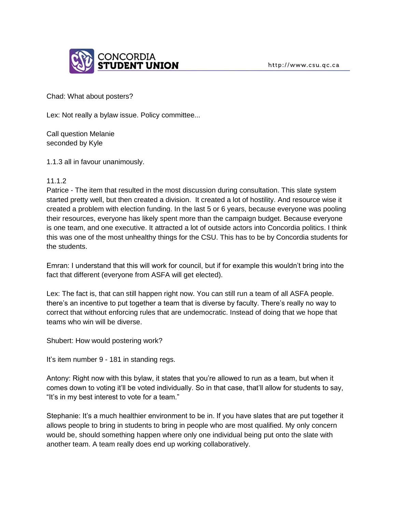

Chad: What about posters?

Lex: Not really a bylaw issue. Policy committee...

Call question Melanie seconded by Kyle

1.1.3 all in favour unanimously.

#### 11.1.2

Patrice - The item that resulted in the most discussion during consultation. This slate system started pretty well, but then created a division. It created a lot of hostility. And resource wise it created a problem with election funding. In the last 5 or 6 years, because everyone was pooling their resources, everyone has likely spent more than the campaign budget. Because everyone is one team, and one executive. It attracted a lot of outside actors into Concordia politics. I think this was one of the most unhealthy things for the CSU. This has to be by Concordia students for the students.

Emran: I understand that this will work for council, but if for example this wouldn't bring into the fact that different (everyone from ASFA will get elected).

Lex: The fact is, that can still happen right now. You can still run a team of all ASFA people. there's an incentive to put together a team that is diverse by faculty. There's really no way to correct that without enforcing rules that are undemocratic. Instead of doing that we hope that teams who win will be diverse.

Shubert: How would postering work?

It's item number 9 - 181 in standing regs.

Antony: Right now with this bylaw, it states that you're allowed to run as a team, but when it comes down to voting it'll be voted individually. So in that case, that'll allow for students to say, "It's in my best interest to vote for a team."

Stephanie: It's a much healthier environment to be in. If you have slates that are put together it allows people to bring in students to bring in people who are most qualified. My only concern would be, should something happen where only one individual being put onto the slate with another team. A team really does end up working collaboratively.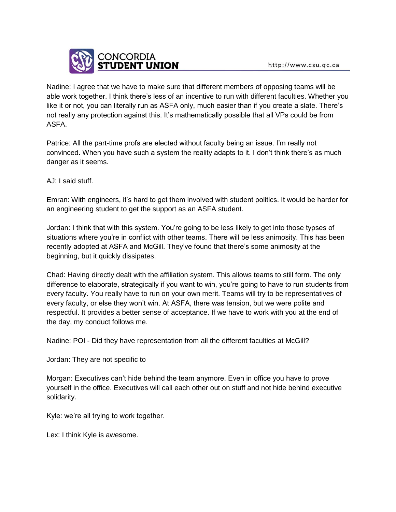Nadine: I agree that we have to make sure that different members of opposing teams will be able work together. I think there's less of an incentive to run with different faculties. Whether you like it or not, you can literally run as ASFA only, much easier than if you create a slate. There's not really any protection against this. It's mathematically possible that all VPs could be from ASFA.

Patrice: All the part-time profs are elected without faculty being an issue. I'm really not convinced. When you have such a system the reality adapts to it. I don't think there's as much danger as it seems.

AJ: I said stuff.

Emran: With engineers, it's hard to get them involved with student politics. It would be harder for an engineering student to get the support as an ASFA student.

Jordan: I think that with this system. You're going to be less likely to get into those typses of situations where you're in conflict with other teams. There will be less animosity. This has been recently adopted at ASFA and McGill. They've found that there's some animosity at the beginning, but it quickly dissipates.

Chad: Having directly dealt with the affiliation system. This allows teams to still form. The only difference to elaborate, strategically if you want to win, you're going to have to run students from every faculty. You really have to run on your own merit. Teams will try to be representatives of every faculty, or else they won't win. At ASFA, there was tension, but we were polite and respectful. It provides a better sense of acceptance. If we have to work with you at the end of the day, my conduct follows me.

Nadine: POI - Did they have representation from all the different faculties at McGill?

Jordan: They are not specific to

Morgan: Executives can't hide behind the team anymore. Even in office you have to prove yourself in the office. Executives will call each other out on stuff and not hide behind executive solidarity.

Kyle: we're all trying to work together.

Lex: I think Kyle is awesome.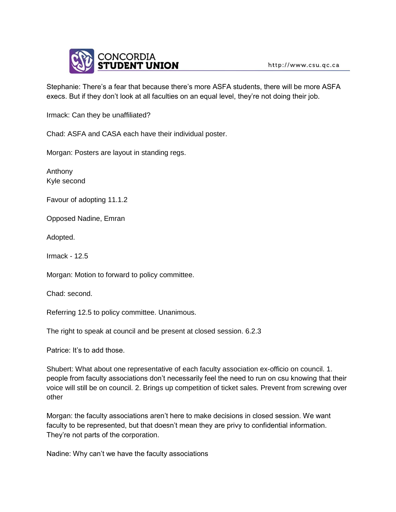

Stephanie: There's a fear that because there's more ASFA students, there will be more ASFA execs. But if they don't look at all faculties on an equal level, they're not doing their job.

Irmack: Can they be unaffiliated?

Chad: ASFA and CASA each have their individual poster.

Morgan: Posters are layout in standing regs.

Anthony Kyle second

Favour of adopting 11.1.2

Opposed Nadine, Emran

Adopted.

Irmack - 12.5

Morgan: Motion to forward to policy committee.

Chad: second.

Referring 12.5 to policy committee. Unanimous.

The right to speak at council and be present at closed session. 6.2.3

Patrice: It's to add those.

Shubert: What about one representative of each faculty association ex-officio on council. 1. people from faculty associations don't necessarily feel the need to run on csu knowing that their voice will still be on council. 2. Brings up competition of ticket sales. Prevent from screwing over other

Morgan: the faculty associations aren't here to make decisions in closed session. We want faculty to be represented, but that doesn't mean they are privy to confidential information. They're not parts of the corporation.

Nadine: Why can't we have the faculty associations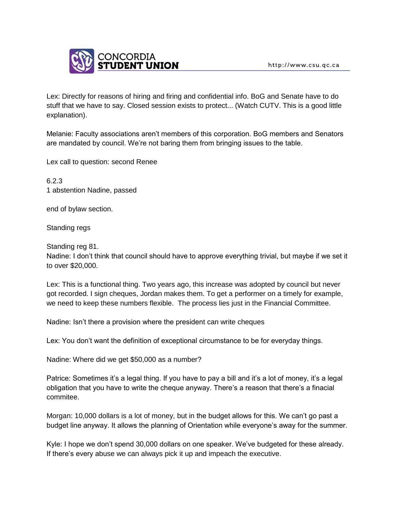

Lex: Directly for reasons of hiring and firing and confidential info. BoG and Senate have to do stuff that we have to say. Closed session exists to protect... (Watch CUTV. This is a good little explanation).

Melanie: Faculty associations aren't members of this corporation. BoG members and Senators are mandated by council. We're not baring them from bringing issues to the table.

Lex call to question: second Renee

6.2.3 1 abstention Nadine, passed

end of bylaw section.

Standing regs

Standing reg 81.

Nadine: I don't think that council should have to approve everything trivial, but maybe if we set it to over \$20,000.

Lex: This is a functional thing. Two years ago, this increase was adopted by council but never got recorded. I sign cheques, Jordan makes them. To get a performer on a timely for example, we need to keep these numbers flexible. The process lies just in the Financial Committee.

Nadine: Isn't there a provision where the president can write cheques

Lex: You don't want the definition of exceptional circumstance to be for everyday things.

Nadine: Where did we get \$50,000 as a number?

Patrice: Sometimes it's a legal thing. If you have to pay a bill and it's a lot of money, it's a legal obligation that you have to write the cheque anyway. There's a reason that there's a finacial commitee.

Morgan: 10,000 dollars is a lot of money, but in the budget allows for this. We can't go past a budget line anyway. It allows the planning of Orientation while everyone's away for the summer.

Kyle: I hope we don't spend 30,000 dollars on one speaker. We've budgeted for these already. If there's every abuse we can always pick it up and impeach the executive.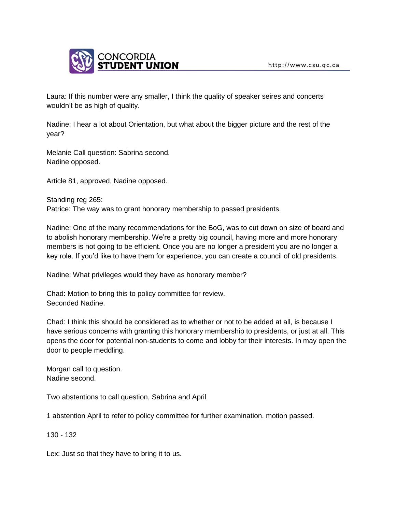

Laura: If this number were any smaller, I think the quality of speaker seires and concerts wouldn't be as high of quality.

Nadine: I hear a lot about Orientation, but what about the bigger picture and the rest of the year?

Melanie Call question: Sabrina second. Nadine opposed.

Article 81, approved, Nadine opposed.

Standing reg 265: Patrice: The way was to grant honorary membership to passed presidents.

Nadine: One of the many recommendations for the BoG, was to cut down on size of board and to abolish honorary membership. We're a pretty big council, having more and more honorary members is not going to be efficient. Once you are no longer a president you are no longer a key role. If you'd like to have them for experience, you can create a council of old presidents.

Nadine: What privileges would they have as honorary member?

Chad: Motion to bring this to policy committee for review. Seconded Nadine.

Chad: I think this should be considered as to whether or not to be added at all, is because I have serious concerns with granting this honorary membership to presidents, or just at all. This opens the door for potential non-students to come and lobby for their interests. In may open the door to people meddling.

Morgan call to question. Nadine second.

Two abstentions to call question, Sabrina and April

1 abstention April to refer to policy committee for further examination. motion passed.

130 - 132

Lex: Just so that they have to bring it to us.